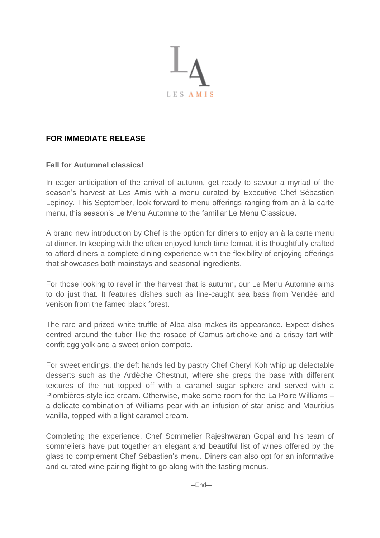

## **FOR IMMEDIATE RELEASE**

## **Fall for Autumnal classics!**

In eager anticipation of the arrival of autumn, get ready to savour a myriad of the season's harvest at Les Amis with a menu curated by Executive Chef Sébastien Lepinoy. This September, look forward to menu offerings ranging from an à la carte menu, this season's Le Menu Automne to the familiar Le Menu Classique.

A brand new introduction by Chef is the option for diners to enjoy an à la carte menu at dinner. In keeping with the often enjoyed lunch time format, it is thoughtfully crafted to afford diners a complete dining experience with the flexibility of enjoying offerings that showcases both mainstays and seasonal ingredients.

For those looking to revel in the harvest that is autumn, our Le Menu Automne aims to do just that. It features dishes such as line-caught sea bass from Vendée and venison from the famed black forest.

The rare and prized white truffle of Alba also makes its appearance. Expect dishes centred around the tuber like the rosace of Camus artichoke and a crispy tart with confit egg yolk and a sweet onion compote.

For sweet endings, the deft hands led by pastry Chef Cheryl Koh whip up delectable desserts such as the Ardèche Chestnut, where she preps the base with different textures of the nut topped off with a caramel sugar sphere and served with a Plombières-style ice cream. Otherwise, make some room for the La Poire Williams – a delicate combination of Williams pear with an infusion of star anise and Mauritius vanilla, topped with a light caramel cream.

Completing the experience, Chef Sommelier Rajeshwaran Gopal and his team of sommeliers have put together an elegant and beautiful list of wines offered by the glass to complement Chef Sébastien's menu. Diners can also opt for an informative and curated wine pairing flight to go along with the tasting menus.

--End–-